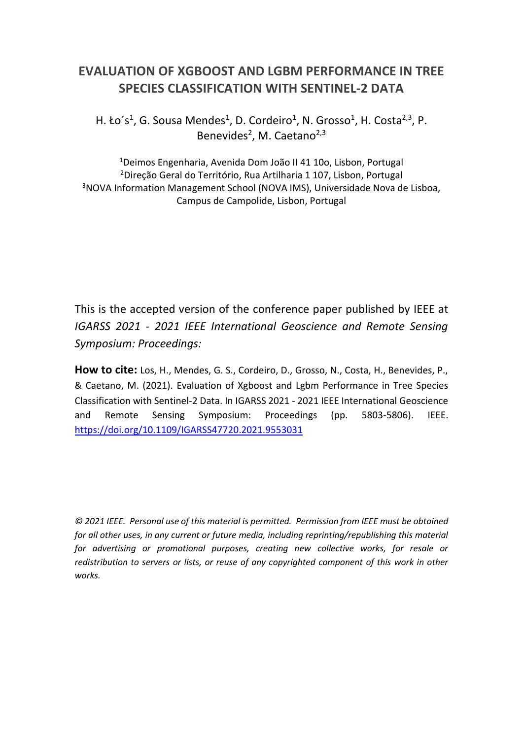# **EVALUATION OF XGBOOST AND LGBM PERFORMANCE IN TREE SPECIES CLASSIFICATION WITH SENTINEL-2 DATA**

H. Ło's<sup>1</sup>, G. Sousa Mendes<sup>1</sup>, D. Cordeiro<sup>1</sup>, N. Grosso<sup>1</sup>, H. Costa<sup>2,3</sup>, P. Benevides<sup>2</sup>, M. Caetano<sup>2,3</sup>

Deimos Engenharia, Avenida Dom João II 41 10o, Lisbon, Portugal Direção Geral do Território, Rua Artilharia 1 107, Lisbon, Portugal NOVA Information Management School (NOVA IMS), Universidade Nova de Lisboa, Campus de Campolide, Lisbon, Portugal

This is the accepted version of the conference paper published by IEEE at *IGARSS 2021 - 2021 IEEE International Geoscience and Remote Sensing Symposium: Proceedings:*

**How to cite:** Los, H., Mendes, G. S., Cordeiro, D., Grosso, N., Costa, H., Benevides, P., & Caetano, M. (2021). Evaluation of Xgboost and Lgbm Performance in Tree Species Classification with Sentinel-2 Data. In IGARSS 2021 - 2021 IEEE International Geoscience and Remote Sensing Symposium: Proceedings (pp. 5803-5806). IEEE. <https://doi.org/10.1109/IGARSS47720.2021.9553031>

*© 2021 IEEE. Personal use of this material is permitted. Permission from IEEE must be obtained for all other uses, in any current or future media, including reprinting/republishing this material for advertising or promotional purposes, creating new collective works, for resale or redistribution to servers or lists, or reuse of any copyrighted component of this work in other works.*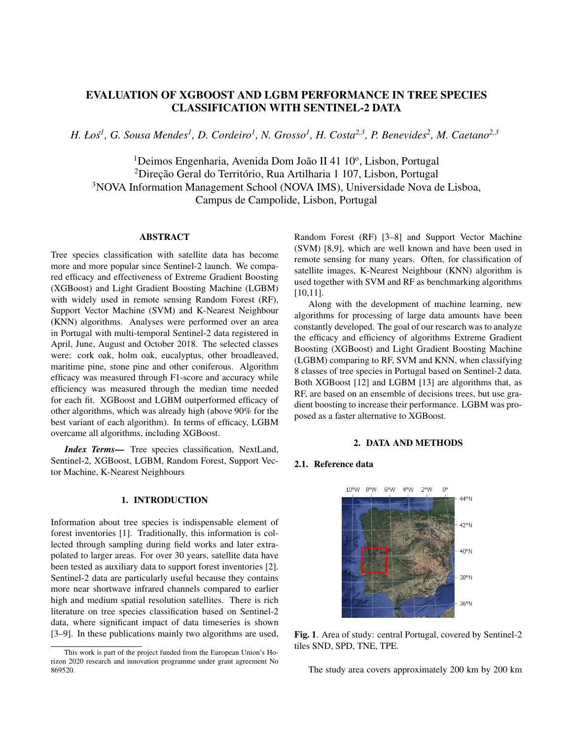# EVALUATION OF XGBOOST AND LGBM PERFORMANCE IN TREE SPECIES CLASSIFICATION WITH SENTINEL-2 DATA

*H. Łos´ 1 , G. Sousa Mendes<sup>1</sup> , D. Cordeiro<sup>1</sup> , N. Grosso<sup>1</sup> , H. Costa2,3, P. Benevides<sup>2</sup> , M. Caetano2,3*

<sup>1</sup>Deimos Engenharia, Avenida Dom João II 41 10°, Lisbon, Portugal <sup>2</sup>Direção Geral do Território, Rua Artilharia 1 107, Lisbon, Portugal <sup>3</sup>NOVA Information Management School (NOVA IMS), Universidade Nova de Lisboa, Campus de Campolide, Lisbon, Portugal

# ABSTRACT

Tree species classification with satellite data has become more and more popular since Sentinel-2 launch. We compared efficacy and effectiveness of Extreme Gradient Boosting (XGBoost) and Light Gradient Boosting Machine (LGBM) with widely used in remote sensing Random Forest (RF), Support Vector Machine (SVM) and K-Nearest Neighbour (KNN) algorithms. Analyses were performed over an area in Portugal with multi-temporal Sentinel-2 data registered in April, June, August and October 2018. The selected classes were: cork oak, holm oak, eucalyptus, other broadleaved, maritime pine, stone pine and other coniferous. Algorithm efficacy was measured through F1-score and accuracy while efficiency was measured through the median time needed for each fit. XGBoost and LGBM outperformed efficacy of other algorithms, which was already high (above 90% for the best variant of each algorithm). In terms of efficacy, LGBM overcame all algorithms, including XGBoost.

*Index Terms*— Tree species classification, NextLand, Sentinel-2, XGBoost, LGBM, Random Forest, Support Vector Machine, K-Nearest Neighbours

#### 1. INTRODUCTION

Information about tree species is indispensable element of forest inventories [1]. Traditionally, this information is collected through sampling during field works and later extrapolated to larger areas. For over 30 years, satellite data have been tested as auxiliary data to support forest inventories [2]. Sentinel-2 data are particularly useful because they contains more near shortwave infrared channels compared to earlier high and medium spatial resolution satellites. There is rich literature on tree species classification based on Sentinel-2 data, where significant impact of data timeseries is shown [3–9]. In these publications mainly two algorithms are used, Random Forest (RF) [3–8] and Support Vector Machine (SVM) [8,9], which are well known and have been used in remote sensing for many years. Often, for classification of satellite images, K-Nearest Neighbour (KNN) algorithm is used together with SVM and RF as benchmarking algorithms [10,11].

Along with the development of machine learning, new algorithms for processing of large data amounts have been constantly developed. The goal of our research was to analyze the efficacy and efficiency of algorithms Extreme Gradient Boosting (XGBoost) and Light Gradient Boosting Machine (LGBM) comparing to RF, SVM and KNN, when classifying 8 classes of tree species in Portugal based on Sentinel-2 data. Both XGBoost [12] and LGBM [13] are algorithms that, as RF, are based on an ensemble of decisions trees, but use gradient boosting to increase their performance. LGBM was proposed as a faster alternative to XGBoost.

#### 2. DATA AND METHODS

#### 2.1. Reference data



Fig. 1. Area of study: central Portugal, covered by Sentinel-2 tiles SND, SPD, TNE, TPE.

The study area covers approximately 200 km by 200 km

This work is part of the project funded from the European Union's Horizon 2020 research and innovation programme under grant agreement No 869520.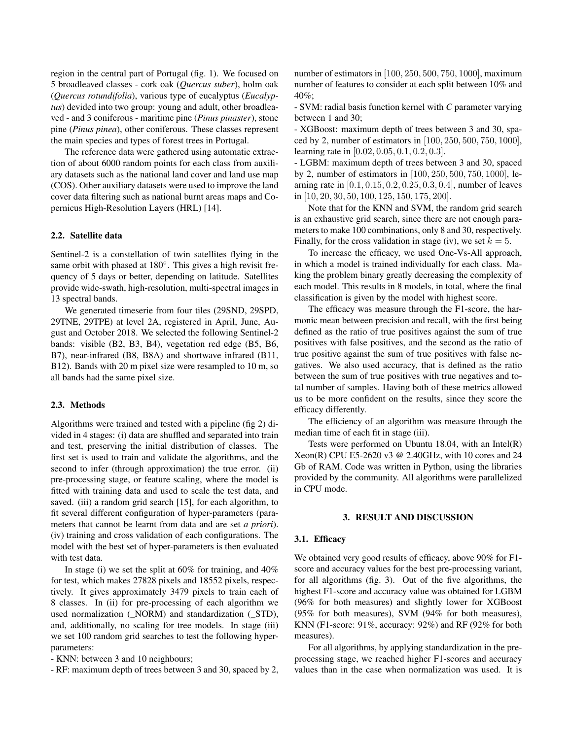region in the central part of Portugal (fig. 1). We focused on 5 broadleaved classes - cork oak (*Quercus suber*), holm oak (*Quercus rotundifolia*), various type of eucalyptus (*Eucalyptus*) devided into two group: young and adult, other broadleaved - and 3 coniferous - maritime pine (*Pinus pinaster*), stone pine (*Pinus pinea*), other coniferous. These classes represent the main species and types of forest trees in Portugal.

The reference data were gathered using automatic extraction of about 6000 random points for each class from auxiliary datasets such as the national land cover and land use map (COS). Other auxiliary datasets were used to improve the land cover data filtering such as national burnt areas maps and Copernicus High-Resolution Layers (HRL) [14].

#### 2.2. Satellite data

Sentinel-2 is a constellation of twin satellites flying in the same orbit with phased at 180°. This gives a high revisit frequency of 5 days or better, depending on latitude. Satellites provide wide-swath, high-resolution, multi-spectral images in 13 spectral bands.

We generated timeserie from four tiles (29SND, 29SPD, 29TNE, 29TPE) at level 2A, registered in April, June, August and October 2018. We selected the following Sentinel-2 bands: visible (B2, B3, B4), vegetation red edge (B5, B6, B7), near-infrared (B8, B8A) and shortwave infrared (B11, B12). Bands with 20 m pixel size were resampled to 10 m, so all bands had the same pixel size.

#### 2.3. Methods

Algorithms were trained and tested with a pipeline (fig 2) divided in 4 stages: (i) data are shuffled and separated into train and test, preserving the initial distribution of classes. The first set is used to train and validate the algorithms, and the second to infer (through approximation) the true error. (ii) pre-processing stage, or feature scaling, where the model is fitted with training data and used to scale the test data, and saved. (iii) a random grid search [15], for each algorithm, to fit several different configuration of hyper-parameters (parameters that cannot be learnt from data and are set *a priori*). (iv) training and cross validation of each configurations. The model with the best set of hyper-parameters is then evaluated with test data.

In stage (i) we set the split at 60% for training, and 40% for test, which makes 27828 pixels and 18552 pixels, respectively. It gives approximately 3479 pixels to train each of 8 classes. In (ii) for pre-processing of each algorithm we used normalization (\_NORM) and standardization (\_STD), and, additionally, no scaling for tree models. In stage (iii) we set 100 random grid searches to test the following hyperparameters:

- KNN: between 3 and 10 neighbours;

- RF: maximum depth of trees between 3 and 30, spaced by 2,

number of estimators in [100, 250, 500, 750, 1000], maximum number of features to consider at each split between 10% and 40%;

- SVM: radial basis function kernel with *C* parameter varying between 1 and 30;

- XGBoost: maximum depth of trees between 3 and 30, spaced by 2, number of estimators in [100, 250, 500, 750, 1000], learning rate in [0.02, 0.05, 0.1, 0.2, 0.3].

- LGBM: maximum depth of trees between 3 and 30, spaced by 2, number of estimators in [100, 250, 500, 750, 1000], learning rate in [0.1, 0.15, 0.2, 0.25, 0.3, 0.4], number of leaves in [10, 20, 30, 50, 100, 125, 150, 175, 200].

Note that for the KNN and SVM, the random grid search is an exhaustive grid search, since there are not enough parameters to make 100 combinations, only 8 and 30, respectively. Finally, for the cross validation in stage (iv), we set  $k = 5$ .

To increase the efficacy, we used One-Vs-All approach, in which a model is trained individually for each class. Making the problem binary greatly decreasing the complexity of each model. This results in 8 models, in total, where the final classification is given by the model with highest score.

The efficacy was measure through the F1-score, the harmonic mean between precision and recall, with the first being defined as the ratio of true positives against the sum of true positives with false positives, and the second as the ratio of true positive against the sum of true positives with false negatives. We also used accuracy, that is defined as the ratio between the sum of true positives with true negatives and total number of samples. Having both of these metrics allowed us to be more confident on the results, since they score the efficacy differently.

The efficiency of an algorithm was measure through the median time of each fit in stage (iii).

Tests were performed on Ubuntu 18.04, with an Intel(R) Xeon(R) CPU E5-2620 v3 @ 2.40GHz, with 10 cores and 24 Gb of RAM. Code was written in Python, using the libraries provided by the community. All algorithms were parallelized in CPU mode.

#### 3. RESULT AND DISCUSSION

#### 3.1. Efficacy

We obtained very good results of efficacy, above 90% for F1 score and accuracy values for the best pre-processing variant, for all algorithms (fig. 3). Out of the five algorithms, the highest F1-score and accuracy value was obtained for LGBM (96% for both measures) and slightly lower for XGBoost (95% for both measures), SVM (94% for both measures), KNN (F1-score: 91%, accuracy: 92%) and RF (92% for both measures).

For all algorithms, by applying standardization in the preprocessing stage, we reached higher F1-scores and accuracy values than in the case when normalization was used. It is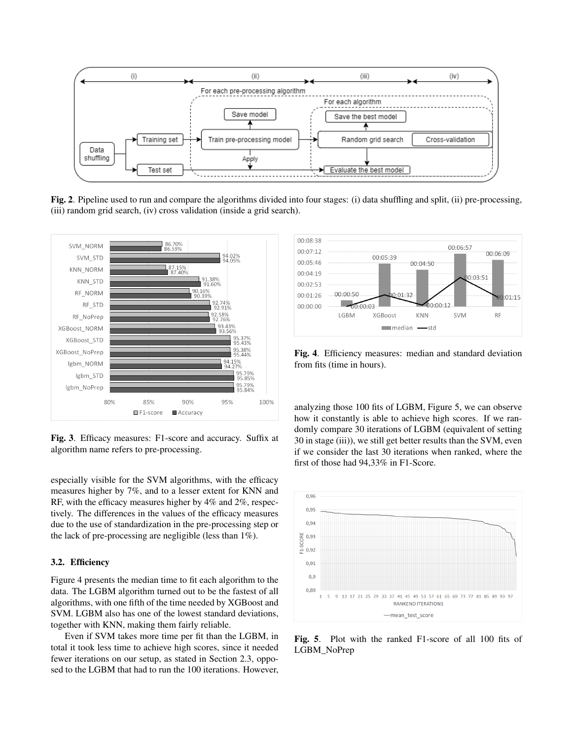

Fig. 2. Pipeline used to run and compare the algorithms divided into four stages: (i) data shuffling and split, (ii) pre-processing, (iii) random grid search, (iv) cross validation (inside a grid search).



Fig. 3. Efficacy measures: F1-score and accuracy. Suffix at algorithm name refers to pre-processing.

especially visible for the SVM algorithms, with the efficacy measures higher by 7%, and to a lesser extent for KNN and RF, with the efficacy measures higher by 4% and 2%, respectively. The differences in the values of the efficacy measures due to the use of standardization in the pre-processing step or the lack of pre-processing are negligible (less than 1%).

### 3.2. Efficiency

Figure 4 presents the median time to fit each algorithm to the data. The LGBM algorithm turned out to be the fastest of all algorithms, with one fifth of the time needed by XGBoost and SVM. LGBM also has one of the lowest standard deviations, together with KNN, making them fairly reliable.

Even if SVM takes more time per fit than the LGBM, in total it took less time to achieve high scores, since it needed fewer iterations on our setup, as stated in Section 2.3, opposed to the LGBM that had to run the 100 iterations. However,



Fig. 4. Efficiency measures: median and standard deviation from fits (time in hours).

analyzing those 100 fits of LGBM, Figure 5, we can observe how it constantly is able to achieve high scores. If we randomly compare 30 iterations of LGBM (equivalent of setting 30 in stage (iii)), we still get better results than the SVM, even if we consider the last 30 iterations when ranked, where the first of those had 94,33% in F1-Score.



Fig. 5. Plot with the ranked F1-score of all 100 fits of LGBM\_NoPrep